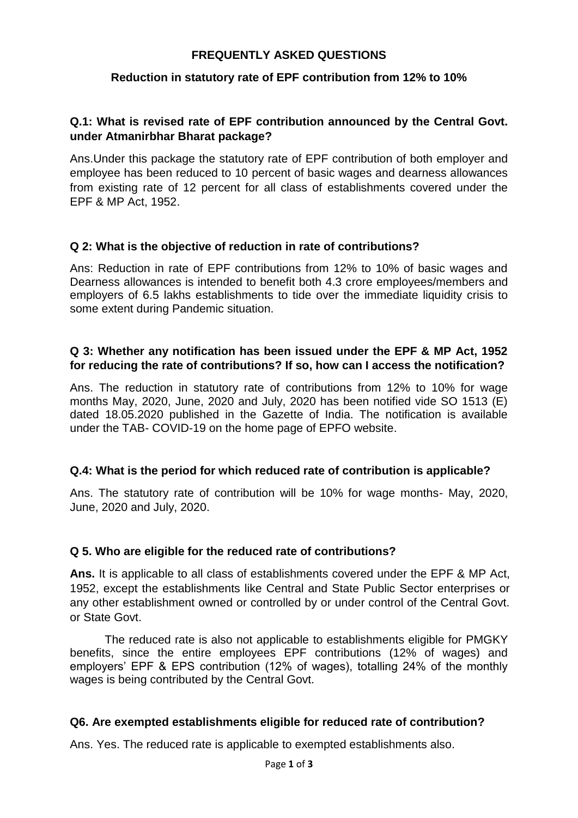### **FREQUENTLY ASKED QUESTIONS**

### **Reduction in statutory rate of EPF contribution from 12% to 10%**

### **Q.1: What is revised rate of EPF contribution announced by the Central Govt. under Atmanirbhar Bharat package?**

Ans.Under this package the statutory rate of EPF contribution of both employer and employee has been reduced to 10 percent of basic wages and dearness allowances from existing rate of 12 percent for all class of establishments covered under the EPF & MP Act, 1952.

### **Q 2: What is the objective of reduction in rate of contributions?**

Ans: Reduction in rate of EPF contributions from 12% to 10% of basic wages and Dearness allowances is intended to benefit both 4.3 crore employees/members and employers of 6.5 lakhs establishments to tide over the immediate liquidity crisis to some extent during Pandemic situation.

### **Q 3: Whether any notification has been issued under the EPF & MP Act, 1952 for reducing the rate of contributions? If so, how can I access the notification?**

Ans. The reduction in statutory rate of contributions from 12% to 10% for wage months May, 2020, June, 2020 and July, 2020 has been notified vide SO 1513 (E) dated 18.05.2020 published in the Gazette of India. The notification is available under the TAB- COVID-19 on the home page of EPFO website.

#### **Q.4: What is the period for which reduced rate of contribution is applicable?**

Ans. The statutory rate of contribution will be 10% for wage months- May, 2020, June, 2020 and July, 2020.

#### **Q 5. Who are eligible for the reduced rate of contributions?**

**Ans.** It is applicable to all class of establishments covered under the EPF & MP Act, 1952, except the establishments like Central and State Public Sector enterprises or any other establishment owned or controlled by or under control of the Central Govt. or State Govt.

The reduced rate is also not applicable to establishments eligible for PMGKY benefits, since the entire employees EPF contributions (12% of wages) and employers' EPF & EPS contribution (12% of wages), totalling 24% of the monthly wages is being contributed by the Central Govt.

#### **Q6. Are exempted establishments eligible for reduced rate of contribution?**

Ans. Yes. The reduced rate is applicable to exempted establishments also.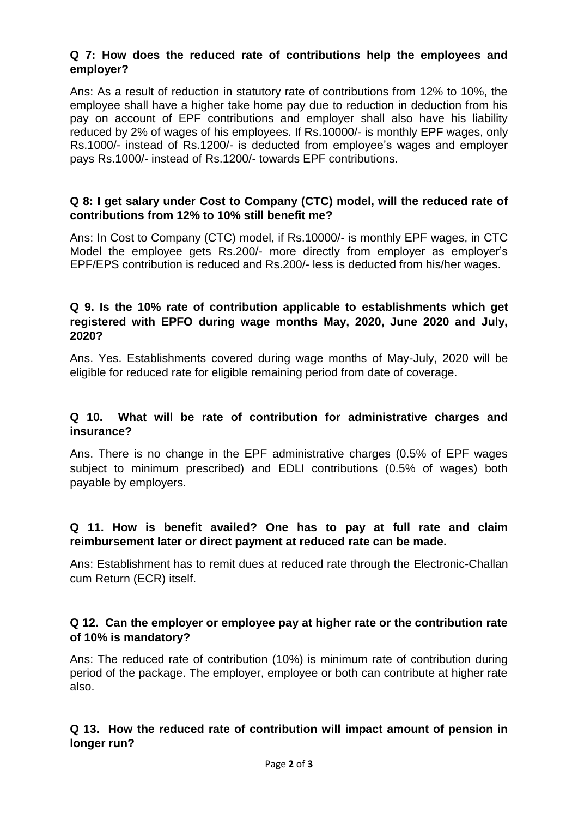# **Q 7: How does the reduced rate of contributions help the employees and employer?**

Ans: As a result of reduction in statutory rate of contributions from 12% to 10%, the employee shall have a higher take home pay due to reduction in deduction from his pay on account of EPF contributions and employer shall also have his liability reduced by 2% of wages of his employees. If Rs.10000/- is monthly EPF wages, only Rs.1000/- instead of Rs.1200/- is deducted from employee's wages and employer pays Rs.1000/- instead of Rs.1200/- towards EPF contributions.

### **Q 8: I get salary under Cost to Company (CTC) model, will the reduced rate of contributions from 12% to 10% still benefit me?**

Ans: In Cost to Company (CTC) model, if Rs.10000/- is monthly EPF wages, in CTC Model the employee gets Rs.200/- more directly from employer as employer's EPF/EPS contribution is reduced and Rs.200/- less is deducted from his/her wages.

# **Q 9. Is the 10% rate of contribution applicable to establishments which get registered with EPFO during wage months May, 2020, June 2020 and July, 2020?**

Ans. Yes. Establishments covered during wage months of May-July, 2020 will be eligible for reduced rate for eligible remaining period from date of coverage.

# **Q 10. What will be rate of contribution for administrative charges and insurance?**

Ans. There is no change in the EPF administrative charges (0.5% of EPF wages subject to minimum prescribed) and EDLI contributions (0.5% of wages) both payable by employers.

# **Q 11. How is benefit availed? One has to pay at full rate and claim reimbursement later or direct payment at reduced rate can be made.**

Ans: Establishment has to remit dues at reduced rate through the Electronic-Challan cum Return (ECR) itself.

# **Q 12. Can the employer or employee pay at higher rate or the contribution rate of 10% is mandatory?**

Ans: The reduced rate of contribution (10%) is minimum rate of contribution during period of the package. The employer, employee or both can contribute at higher rate also.

# **Q 13. How the reduced rate of contribution will impact amount of pension in longer run?**